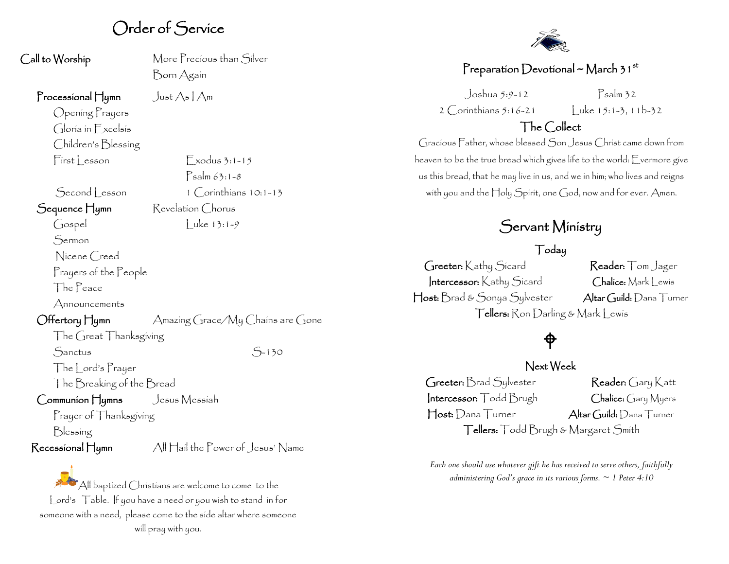## Order of Service

Call to Worship More Precious than Silver Born Again

#### Processional Hymn Just  $As | Am$

Opening Prayers Gloria in Excelsis Children's Blessing First Lesson Exodus 3:1-15

Second lesson 1 Corinthians 10:1-13 Sequence Hymn Revelation Chorus

Gospel Luke 13:1-9

 $P_{\text{salm}}$  63:1-8

Sermon

Nicene Creed

Prayers of the People

The Peace

Announcements

#### Offertory Hymn Amazing Grace/My Chains are Gone

The Great Thanksgiving Sanctus S-130

The Lord's Prayer

The Breaking of the Bread

Communion Hymns Jesus Messiah

Prayer of Thanksgiving

Blessing

Recessional Hymn All Hail the Power of Jesus' Name

All baptized Christians are welcome to come to the Lord's Table. If you have a need or you wish to stand in for someone with a need, please come to the side altar where someone will pray with you.



### Preparation Devotional ~ March 3  $1^{st}$

 $2$  Corinthians  $5:16-21$  luke  $15:1-3, 11b-32$ 

Joshua 5:9-12 Psalm 32

### The Collect

Gracious Father, whose blessed Son Jesus Christ came down from heaven to be the true bread which gives life to the world: Evermore give us this bread, that he may live in us, and we in him; who lives and reigns with you and the Holy Spirit, one God, now and for ever. Amen.

# Servant Ministry

### Today

Greeter: Kathy Sicard Reader: Tom Jager Intercessor: Kathy Sicard Chalice: Mark Lewis Host: Brad & Sonya Sylvester Altar Guild: Dana Turner Tellers: Ron Darling & Mark Lewis

# $\hat{\phi}$

Next Week Greeter: Brad Sylvester Reader: Gary Katt Intercessor: Todd Brugh Chalice: Gary Myers Host: Dana Turner Altar Guild: Dana Turner

Tellers: Todd Brugh & Margaret Smith

*Each one should use whatever gift he has received to serve others, faithfully administering God's grace in its various forms. ~ 1 Peter 4:10*